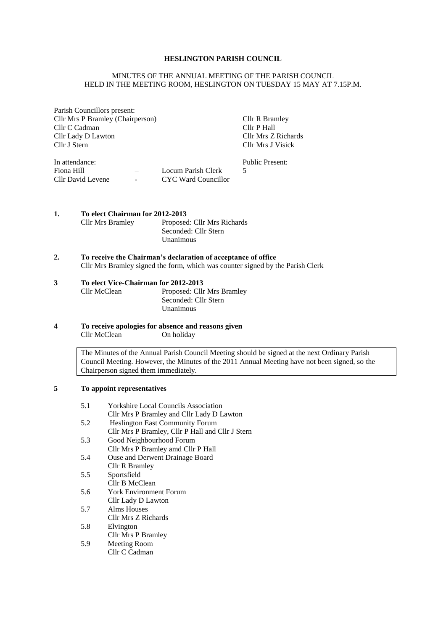## **HESLINGTON PARISH COUNCIL**

#### MINUTES OF THE ANNUAL MEETING OF THE PARISH COUNCIL HELD IN THE MEETING ROOM, HESLINGTON ON TUESDAY 15 MAY AT 7.15P.M.

Parish Councillors present: Cllr Mrs P Bramley (Chairperson) Cllr R Bramley Cllr C Cadman Cllr C Cadman Cllr P Hall Cllr C Cadman Cllr P Hall<br>Cllr Lady D Lawton Cllr Mrs Z Richards Cllr Lady D Lawton<br>Cllr J Stern

Cllr Mrs J Visick

| In attendance:    |                          |                     | Public Present: |
|-------------------|--------------------------|---------------------|-----------------|
| Fiona Hill        | $\overline{\phantom{0}}$ | Locum Parish Clerk  |                 |
| Cllr David Levene | $\sim$ 100 $\mu$         | CYC Ward Councillor |                 |

**1. To elect Chairman for 2012-2013** Cllr Mrs Bramley Proposed: Cllr Mrs Richards

| Proposed: Cllr Mrs Richar |
|---------------------------|
| Seconded: Cllr Stern      |
| Unanimous                 |

**2. To receive the Chairman's declaration of acceptance of office** Cllr Mrs Bramley signed the form, which was counter signed by the Parish Clerk

# **3 To elect Vice-Chairman for 2012-2013**

Proposed: Cllr Mrs Bramley Seconded: Cllr Stern Unanimous

**4 To receive apologies for absence and reasons given** Cllr McClean On holiday

> The Minutes of the Annual Parish Council Meeting should be signed at the next Ordinary Parish Council Meeting. However, the Minutes of the 2011 Annual Meeting have not been signed, so the Chairperson signed them immediately.

# **5 To appoint representatives**

| 5.1 | <b>Yorkshire Local Councils Association</b>      |
|-----|--------------------------------------------------|
|     | Cllr Mrs P Bramley and Cllr Lady D Lawton        |
| 5.2 | <b>Heslington East Community Forum</b>           |
|     | Cllr Mrs P Bramley, Cllr P Hall and Cllr J Stern |
| 5.3 | Good Neighbourhood Forum                         |
|     | Cllr Mrs P Bramley amd Cllr P Hall               |
| 5.4 | Ouse and Derwent Drainage Board                  |
|     | Cllr R Bramley                                   |
| 5.5 | Sportsfield                                      |
|     | Cllr B McClean                                   |
| 5.6 | <b>York Environment Forum</b>                    |
|     | Cllr Lady D Lawton                               |
| 5.7 | Alms Houses                                      |
|     | Cllr Mrs Z Richards                              |
| 5.8 | Elvington                                        |
|     | Cllr Mrs P Bramley                               |
| 5.9 | Meeting Room                                     |
|     | Cllr C Cadman                                    |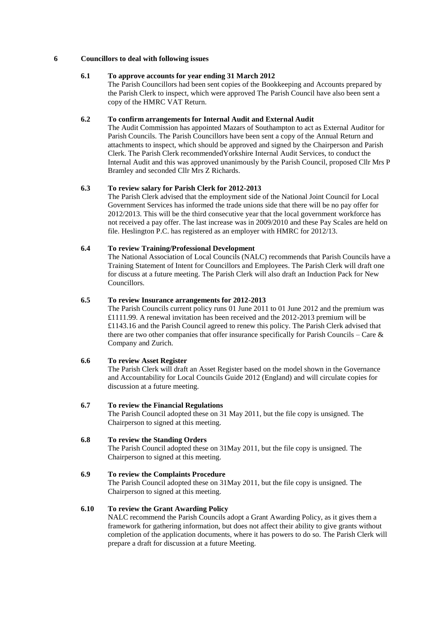#### **6 Councillors to deal with following issues**

# **6.1 To approve accounts for year ending 31 March 2012**

The Parish Councillors had been sent copies of the Bookkeeping and Accounts prepared by the Parish Clerk to inspect, which were approved The Parish Council have also been sent a copy of the HMRC VAT Return.

#### **6.2 To confirm arrangements for Internal Audit and External Audit**

The Audit Commission has appointed Mazars of Southampton to act as External Auditor for Parish Councils. The Parish Councillors have been sent a copy of the Annual Return and attachments to inspect, which should be approved and signed by the Chairperson and Parish Clerk. The Parish Clerk recommendedYorkshire Internal Audit Services, to conduct the Internal Audit and this was approved unanimously by the Parish Council, proposed Cllr Mrs P Bramley and seconded Cllr Mrs Z Richards.

#### **6.3 To review salary for Parish Clerk for 2012-2013**

The Parish Clerk advised that the employment side of the National Joint Council for Local Government Services has informed the trade unions side that there will be no pay offer for 2012/2013. This will be the third consecutive year that the local government workforce has not received a pay offer. The last increase was in 2009/2010 and these Pay Scales are held on file. Heslington P.C. has registered as an employer with HMRC for 2012/13.

#### **6.4 To review Training/Professional Development**

The National Association of Local Councils (NALC) recommends that Parish Councils have a Training Statement of Intent for Councillors and Employees. The Parish Clerk will draft one for discuss at a future meeting. The Parish Clerk will also draft an Induction Pack for New Councillors.

## **6.5 To review Insurance arrangements for 2012-2013**

The Parish Councils current policy runs 01 June 2011 to 01 June 2012 and the premium was £1111.99. A renewal invitation has been received and the 2012-2013 premium will be £1143.16 and the Parish Council agreed to renew this policy. The Parish Clerk advised that there are two other companies that offer insurance specifically for Parish Councils – Care  $\&$ Company and Zurich.

## **6.6 To review Asset Register**

The Parish Clerk will draft an Asset Register based on the model shown in the Governance and Accountability for Local Councils Guide 2012 (England) and will circulate copies for discussion at a future meeting.

## **6.7 To review the Financial Regulations**

The Parish Council adopted these on 31 May 2011, but the file copy is unsigned. The Chairperson to signed at this meeting.

#### **6.8 To review the Standing Orders**

The Parish Council adopted these on 31May 2011, but the file copy is unsigned. The Chairperson to signed at this meeting.

#### **6.9 To review the Complaints Procedure**

The Parish Council adopted these on 31May 2011, but the file copy is unsigned. The Chairperson to signed at this meeting.

#### **6.10 To review the Grant Awarding Policy**

NALC recommend the Parish Councils adopt a Grant Awarding Policy, as it gives them a framework for gathering information, but does not affect their ability to give grants without completion of the application documents, where it has powers to do so. The Parish Clerk will prepare a draft for discussion at a future Meeting.